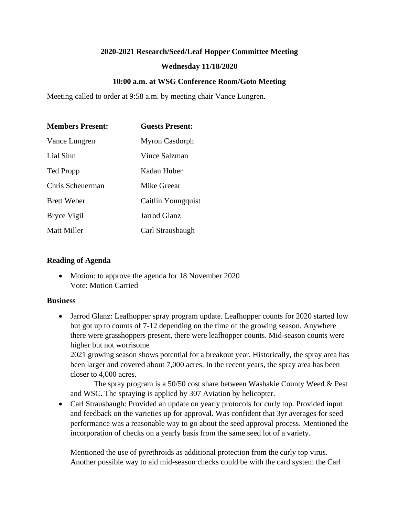## **2020-2021 Research/Seed/Leaf Hopper Committee Meeting**

# **Wednesday 11/18/2020**

# **10:00 a.m. at WSG Conference Room/Goto Meeting**

Meeting called to order at 9:58 a.m. by meeting chair Vance Lungren.

| <b>Members Present:</b> | <b>Guests Present:</b> |
|-------------------------|------------------------|
| Vance Lungren           | Myron Casdorph         |
| Lial Sinn               | Vince Salzman          |
| <b>Ted Propp</b>        | Kadan Huber            |
| Chris Scheuerman        | Mike Greear            |
| <b>Brett Weber</b>      | Caitlin Youngquist     |
| Bryce Vigil             | Jarrod Glanz           |
| <b>Matt Miller</b>      | Carl Strausbaugh       |

## **Reading of Agenda**

• Motion: to approve the agenda for 18 November 2020 Vote: Motion Carried

### **Business**

• Jarrod Glanz: Leafhopper spray program update. Leafhopper counts for 2020 started low but got up to counts of 7-12 depending on the time of the growing season. Anywhere there were grasshoppers present, there were leafhopper counts. Mid-season counts were higher but not worrisome

2021 growing season shows potential for a breakout year. Historically, the spray area has been larger and covered about 7,000 acres. In the recent years, the spray area has been closer to 4,000 acres.

The spray program is a 50/50 cost share between Washakie County Weed & Pest and WSC. The spraying is applied by 307 Aviation by helicopter.

• Carl Strausbaugh: Provided an update on yearly protocols for curly top. Provided input and feedback on the varieties up for approval. Was confident that 3yr averages for seed performance was a reasonable way to go about the seed approval process. Mentioned the incorporation of checks on a yearly basis from the same seed lot of a variety.

Mentioned the use of pyrethroids as additional protection from the curly top virus. Another possible way to aid mid-season checks could be with the card system the Carl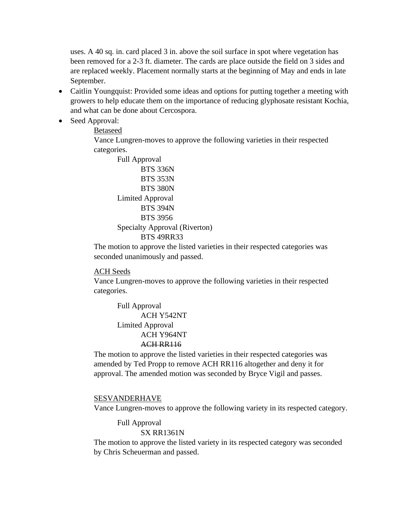uses. A 40 sq. in. card placed 3 in. above the soil surface in spot where vegetation has been removed for a 2-3 ft. diameter. The cards are place outside the field on 3 sides and are replaced weekly. Placement normally starts at the beginning of May and ends in late September.

- Caitlin Youngquist: Provided some ideas and options for putting together a meeting with growers to help educate them on the importance of reducing glyphosate resistant Kochia, and what can be done about Cercospora.
- Seed Approval:

Betaseed

Vance Lungren-moves to approve the following varieties in their respected categories.

Full Approval BTS 336N BTS 353N BTS 380N Limited Approval BTS 394N BTS 3956 Specialty Approval (Riverton) BTS 49RR33

The motion to approve the listed varieties in their respected categories was seconded unanimously and passed.

#### ACH Seeds

Vance Lungren-moves to approve the following varieties in their respected categories.

Full Approval ACH Y542NT Limited Approval ACH Y964NT ACH RR116

The motion to approve the listed varieties in their respected categories was amended by Ted Propp to remove ACH RR116 altogether and deny it for approval. The amended motion was seconded by Bryce Vigil and passes.

#### SESVANDERHAVE

Vance Lungren-moves to approve the following variety in its respected category.

Full Approval

#### SX RR1361N

The motion to approve the listed variety in its respected category was seconded by Chris Scheuerman and passed.